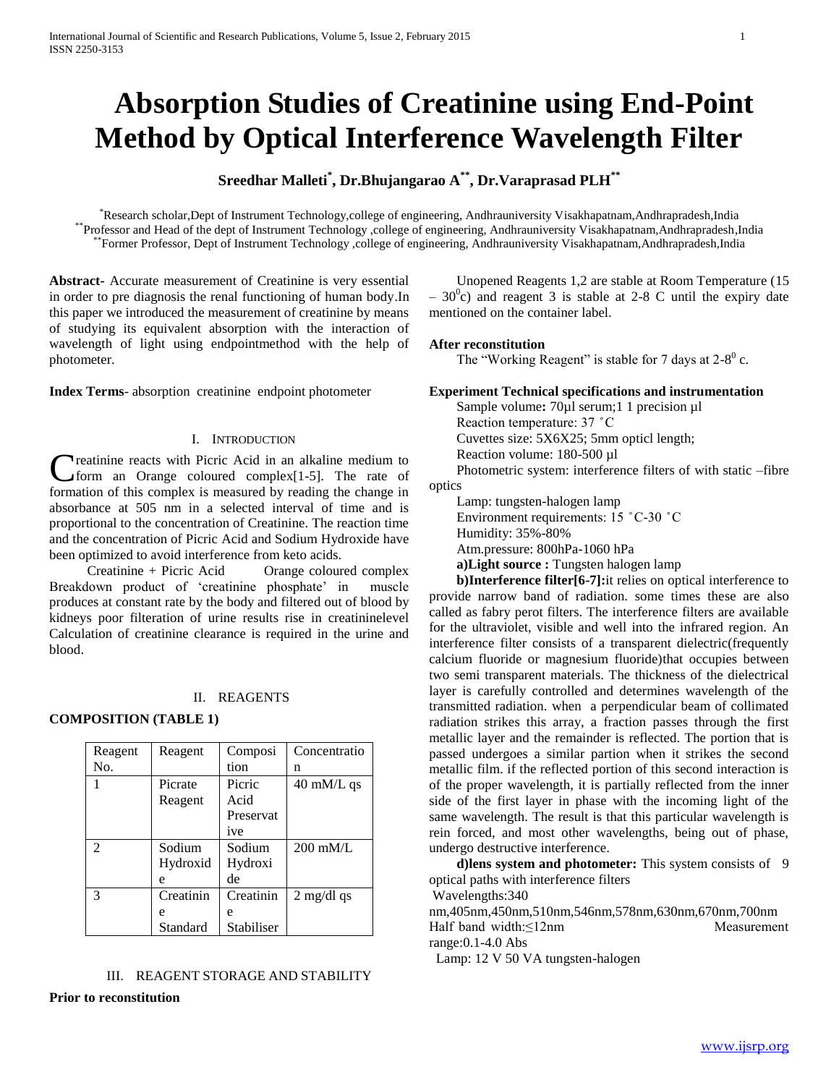# **Absorption Studies of Creatinine using End-Point Method by Optical Interference Wavelength Filter**

## **Sreedhar Malleti\* , Dr.Bhujangarao A\*\*, Dr.Varaprasad PLH\*\***

\*Research scholar,Dept of Instrument Technology,college of engineering, Andhrauniversity Visakhapatnam,Andhrapradesh,India \*\*Professor and Head of the dept of Instrument Technology ,college of engineering, Andhrauniversity Visakhapatnam,Andhrapradesh,India \*\*Former Professor, Dept of Instrument Technology ,college of engineering, Andhrauniversity Visakhapatnam,Andhrapradesh,India

**Abstract-** Accurate measurement of Creatinine is very essential in order to pre diagnosis the renal functioning of human body.In this paper we introduced the measurement of creatinine by means of studying its equivalent absorption with the interaction of wavelength of light using endpointmethod with the help of photometer.

**Index Terms**- absorption creatinine endpoint photometer

## I. INTRODUCTION

**Treatinine reacts with Picric Acid in an alkaline medium to**  $\sqrt{5}$  form an Orange coloured complex [1-5]. The rate of formation of this complex is measured by reading the change in absorbance at 505 nm in a selected interval of time and is proportional to the concentration of Creatinine. The reaction time and the concentration of Picric Acid and Sodium Hydroxide have been optimized to avoid interference from keto acids. C

 Creatinine + Picric Acid Orange coloured complex Breakdown product of 'creatinine phosphate' in muscle produces at constant rate by the body and filtered out of blood by kidneys poor filteration of urine results rise in creatininelevel Calculation of creatinine clearance is required in the urine and blood.

#### II. REAGENTS

**COMPOSITION (TABLE 1)**

| Reagent        | Reagent   | Composi    | Concentratio         |
|----------------|-----------|------------|----------------------|
| No.            |           | tion       | n                    |
|                | Picrate   | Picric     | $40 \text{ mM/L}$ qs |
|                | Reagent   | Acid       |                      |
|                |           | Preservat  |                      |
|                |           | ive        |                      |
| $\mathfrak{D}$ | Sodium    | Sodium     | $200 \text{ mM/L}$   |
|                | Hydroxid  | Hydroxi    |                      |
|                | e         | de         |                      |
| $\mathcal{R}$  | Creatinin | Creatinin  | $2 \text{ mg/dl}$ qs |
|                | e         | e          |                      |
|                | Standard  | Stabiliser |                      |

## III. REAGENT STORAGE AND STABILITY **Prior to reconstitution**

 Unopened Reagents 1,2 are stable at Room Temperature (15  $-30^{\circ}$ c) and reagent 3 is stable at 2-8 C until the expiry date mentioned on the container label.

## **After reconstitution**

The "Working Reagent" is stable for 7 days at  $2-8^0$  c.

## **Experiment Technical specifications and instrumentation**

Sample volume: 70µl serum;1 1 precision µl Reaction temperature: 37 ̊ C Cuvettes size: 5X6X25; 5mm opticl length; Reaction volume: 180-500 µl Photometric system: interference filters of with static –fibre optics Lamp: tungsten-halogen lamp

 Environment requirements: 15 ̊ C-30 ̊ C Humidity: 35%-80% Atm.pressure: 800hPa-1060 hPa **a)Light source :** Tungsten halogen lamp

 **b)Interference filter[6-7]:**it relies on optical interference to provide narrow band of radiation. some times these are also called as fabry perot filters. The interference filters are available for the ultraviolet, visible and well into the infrared region. An interference filter consists of a transparent dielectric(frequently calcium fluoride or magnesium fluoride)that occupies between two semi transparent materials. The thickness of the dielectrical layer is carefully controlled and determines wavelength of the transmitted radiation. when a perpendicular beam of collimated radiation strikes this array, a fraction passes through the first metallic layer and the remainder is reflected. The portion that is passed undergoes a similar partion when it strikes the second metallic film. if the reflected portion of this second interaction is of the proper wavelength, it is partially reflected from the inner side of the first layer in phase with the incoming light of the same wavelength. The result is that this particular wavelength is rein forced, and most other wavelengths, being out of phase, undergo destructive interference.

 **d)lens system and photometer:** This system consists of9 optical paths with interference filters

Wavelengths:340

nm,405nm,450nm,510nm,546nm,578nm,630nm,670nm,700nm Half band width:≤12nm Measurement range:0.1-4.0 Abs

Lamp: 12 V 50 VA tungsten-halogen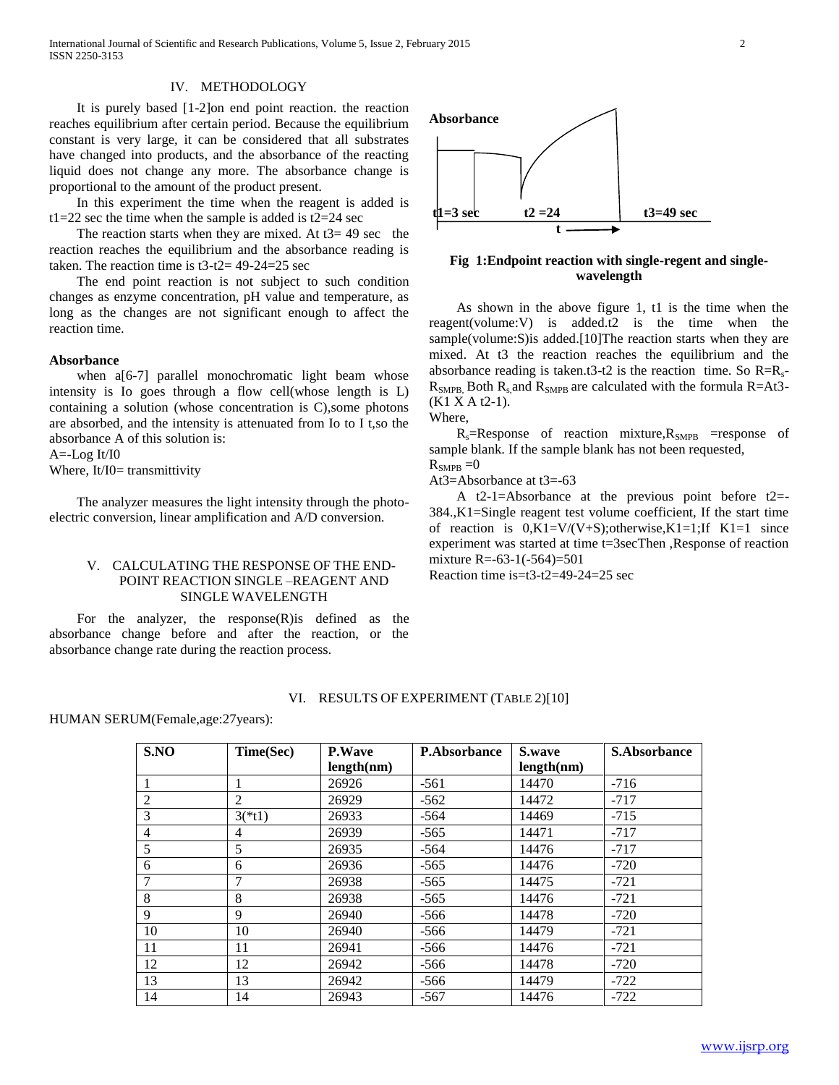International Journal of Scientific and Research Publications, Volume 5, Issue 2, February 2015 2 ISSN 2250-3153

## IV. METHODOLOGY

 It is purely based [1-2]on end point reaction. the reaction reaches equilibrium after certain period. Because the equilibrium constant is very large, it can be considered that all substrates have changed into products, and the absorbance of the reacting liquid does not change any more. The absorbance change is proportional to the amount of the product present.

 In this experiment the time when the reagent is added is t1=22 sec the time when the sample is added is  $t2=24$  sec

The reaction starts when they are mixed. At  $t3=49$  sec the reaction reaches the equilibrium and the absorbance reading is taken. The reaction time is t3-t2= 49-24=25 sec

 The end point reaction is not subject to such condition changes as enzyme concentration, pH value and temperature, as long as the changes are not significant enough to affect the reaction time.

#### **Absorbance**

when a[6-7] parallel monochromatic light beam whose intensity is Io goes through a flow cell(whose length is L) containing a solution (whose concentration is C),some photons are absorbed, and the intensity is attenuated from Io to I t,so the absorbance A of this solution is:

A=-Log It/I0

Where, It/I0= transmittivity

 The analyzer measures the light intensity through the photoelectric conversion, linear amplification and A/D conversion.

## V. CALCULATING THE RESPONSE OF THE END-POINT REACTION SINGLE –REAGENT AND SINGLE WAVELENGTH

 For the analyzer, the response(R)is defined as the absorbance change before and after the reaction, or the absorbance change rate during the reaction process.



## **Fig 1:Endpoint reaction with single-regent and singlewavelength**

 As shown in the above figure 1, t1 is the time when the reagent(volume:V) is added.t2 is the time when the sample(volume:S)is added.[10]The reaction starts when they are mixed. At t3 the reaction reaches the equilibrium and the absorbance reading is taken.t3-t2 is the reaction time. So  $R=R_s$ - $R<sub>SMPB</sub>$  Both  $R<sub>s</sub>$  and  $R<sub>SMPB</sub>$  are calculated with the formula R=At3-(K1 X A t2-1).

Where,

 $R_s$ =Response of reaction mixture, $R_{\text{SMPB}}$  =response of sample blank. If the sample blank has not been requested,  $R_{\text{SMPB}} = 0$ 

At3=Absorbance at t3=-63

 A t2-1=Absorbance at the previous point before t2=- 384.,K1=Single reagent test volume coefficient, If the start time of reaction is  $0,K1=V/(V+S)$ ; otherwise,  $K1=1$ ; If  $K1=1$  since experiment was started at time t=3secThen ,Response of reaction mixture R=-63-1(-564)=501

Reaction time is= $t3-t2=49-24=25$  sec

#### VI. RESULTS OF EXPERIMENT (TABLE 2)[10]

HUMAN SERUM(Female,age:27years):

| S.NO           | Time(Sec) | <b>P.Wave</b> | <b>P.Absorbance</b> | S.wave     | <b>S.Absorbance</b> |
|----------------|-----------|---------------|---------------------|------------|---------------------|
|                |           | length(nm)    |                     | length(nm) |                     |
|                |           | 26926         | $-561$              | 14470      | $-716$              |
| 2              | 2         | 26929         | $-562$              | 14472      | $-717$              |
| 3              | $3(*t1)$  | 26933         | $-564$              | 14469      | $-715$              |
| $\overline{4}$ | 4         | 26939         | $-565$              | 14471      | $-717$              |
| 5              | 5         | 26935         | $-564$              | 14476      | $-717$              |
| 6              | 6         | 26936         | $-565$              | 14476      | $-720$              |
|                | 7         | 26938         | $-565$              | 14475      | $-721$              |
| 8              | 8         | 26938         | $-565$              | 14476      | $-721$              |
| 9              | 9         | 26940         | $-566$              | 14478      | $-720$              |
| 10             | 10        | 26940         | $-566$              | 14479      | $-721$              |
| 11             | 11        | 26941         | $-566$              | 14476      | $-721$              |
| 12             | 12        | 26942         | $-566$              | 14478      | $-720$              |
| 13             | 13        | 26942         | $-566$              | 14479      | $-722$              |
| 14             | 14        | 26943         | $-567$              | 14476      | $-722$              |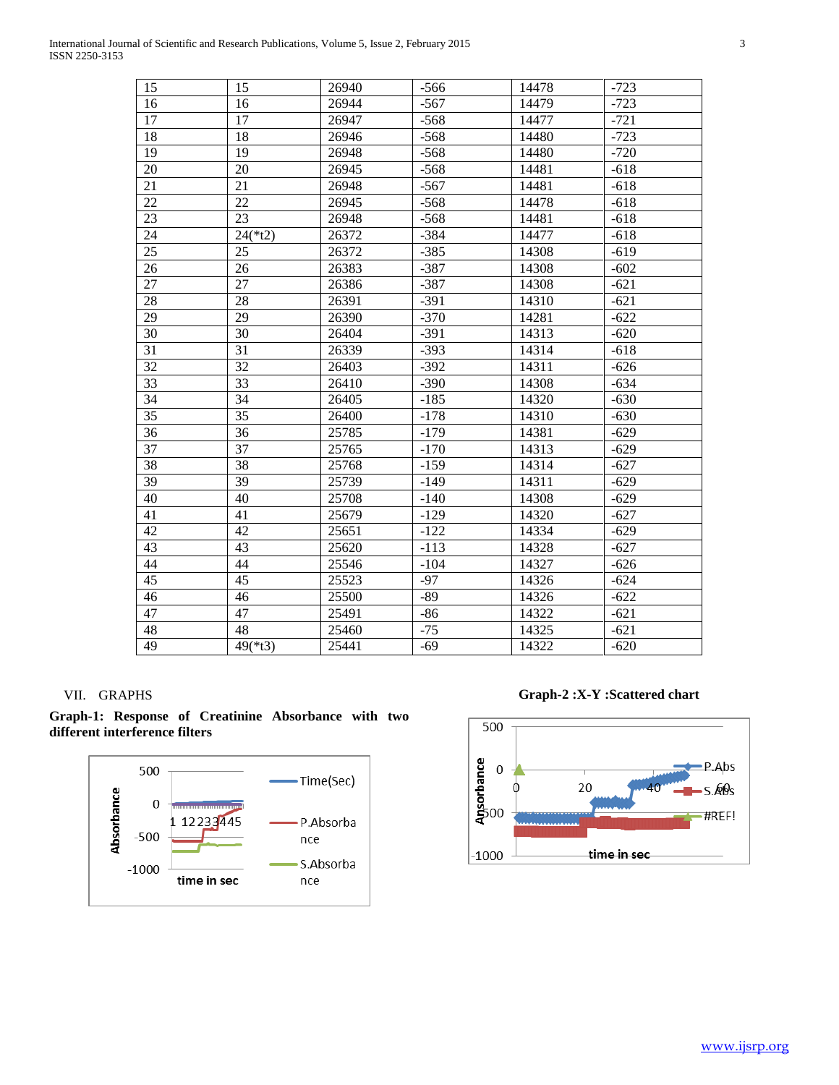| ٧<br>×       |
|--------------|
| I            |
| ۰.<br>×<br>٠ |

| 15 | 15        | 26940 | $-566$ | 14478 | $-723$ |
|----|-----------|-------|--------|-------|--------|
| 16 | 16        | 26944 | $-567$ | 14479 | $-723$ |
| 17 | 17        | 26947 | $-568$ | 14477 | $-721$ |
| 18 | 18        | 26946 | $-568$ | 14480 | $-723$ |
| 19 | 19        | 26948 | $-568$ | 14480 | $-720$ |
| 20 | 20        | 26945 | $-568$ | 14481 | $-618$ |
| 21 | 21        | 26948 | $-567$ | 14481 | $-618$ |
| 22 | 22        | 26945 | $-568$ | 14478 | $-618$ |
| 23 | 23        | 26948 | $-568$ | 14481 | $-618$ |
| 24 | $24(*t2)$ | 26372 | $-384$ | 14477 | $-618$ |
| 25 | 25        | 26372 | $-385$ | 14308 | $-619$ |
| 26 | 26        | 26383 | $-387$ | 14308 | $-602$ |
| 27 | 27        | 26386 | $-387$ | 14308 | $-621$ |
| 28 | 28        | 26391 | $-391$ | 14310 | $-621$ |
| 29 | 29        | 26390 | $-370$ | 14281 | $-622$ |
| 30 | 30        | 26404 | $-391$ | 14313 | $-620$ |
| 31 | 31        | 26339 | $-393$ | 14314 | $-618$ |
| 32 | 32        | 26403 | $-392$ | 14311 | $-626$ |
| 33 | 33        | 26410 | $-390$ | 14308 | $-634$ |
| 34 | 34        | 26405 | $-185$ | 14320 | $-630$ |
| 35 | 35        | 26400 | $-178$ | 14310 | $-630$ |
| 36 | 36        | 25785 | $-179$ | 14381 | $-629$ |
| 37 | 37        | 25765 | $-170$ | 14313 | $-629$ |
| 38 | 38        | 25768 | $-159$ | 14314 | $-627$ |
| 39 | 39        | 25739 | $-149$ | 14311 | $-629$ |
| 40 | 40        | 25708 | $-140$ | 14308 | $-629$ |
| 41 | 41        | 25679 | $-129$ | 14320 | $-627$ |
| 42 | 42        | 25651 | $-122$ | 14334 | $-629$ |
| 43 | 43        | 25620 | $-113$ | 14328 | $-627$ |
| 44 | 44        | 25546 | $-104$ | 14327 | $-626$ |
| 45 | 45        | 25523 | $-97$  | 14326 | $-624$ |
| 46 | 46        | 25500 | $-89$  | 14326 | $-622$ |
| 47 | 47        | 25491 | $-86$  | 14322 | $-621$ |
| 48 | 48        | 25460 | $-75$  | 14325 | $-621$ |
| 49 | $49(*t3)$ | 25441 | $-69$  | 14322 | $-620$ |

## VII. GRAPHS





**Graph-2 :X-Y :Scattered chart**